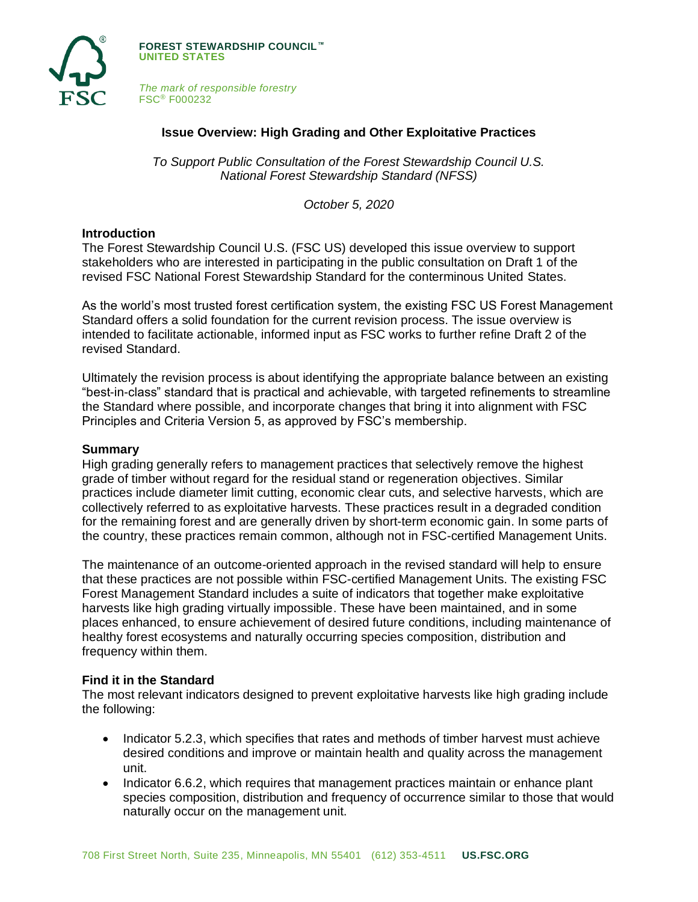

**FOREST STEWARDSHIP COUNCIL™ UNITED STATES**

*The mark of responsible forestry* FSC® F000232

# **Issue Overview: High Grading and Other Exploitative Practices**

*To Support Public Consultation of the Forest Stewardship Council U.S. National Forest Stewardship Standard (NFSS)*

*October 5, 2020*

### **Introduction**

The Forest Stewardship Council U.S. (FSC US) developed this issue overview to support stakeholders who are interested in participating in the public consultation on Draft 1 of the revised FSC National Forest Stewardship Standard for the conterminous United States.

As the world's most trusted forest certification system, the existing FSC US Forest Management Standard offers a solid foundation for the current revision process. The issue overview is intended to facilitate actionable, informed input as FSC works to further refine Draft 2 of the revised Standard.

Ultimately the revision process is about identifying the appropriate balance between an existing "best-in-class" standard that is practical and achievable, with targeted refinements to streamline the Standard where possible, and incorporate changes that bring it into alignment with FSC Principles and Criteria Version 5, as approved by FSC's membership.

## **Summary**

High grading generally refers to management practices that selectively remove the highest grade of timber without regard for the residual stand or regeneration objectives. Similar practices include diameter limit cutting, economic clear cuts, and selective harvests, which are collectively referred to as exploitative harvests. These practices result in a degraded condition for the remaining forest and are generally driven by short-term economic gain. In some parts of the country, these practices remain common, although not in FSC-certified Management Units.

The maintenance of an outcome-oriented approach in the revised standard will help to ensure that these practices are not possible within FSC-certified Management Units. The existing FSC Forest Management Standard includes a suite of indicators that together make exploitative harvests like high grading virtually impossible. These have been maintained, and in some places enhanced, to ensure achievement of desired future conditions, including maintenance of healthy forest ecosystems and naturally occurring species composition, distribution and frequency within them.

## **Find it in the Standard**

The most relevant indicators designed to prevent exploitative harvests like high grading include the following:

- Indicator 5.2.3, which specifies that rates and methods of timber harvest must achieve desired conditions and improve or maintain health and quality across the management unit.
- Indicator 6.6.2, which requires that management practices maintain or enhance plant species composition, distribution and frequency of occurrence similar to those that would naturally occur on the management unit.